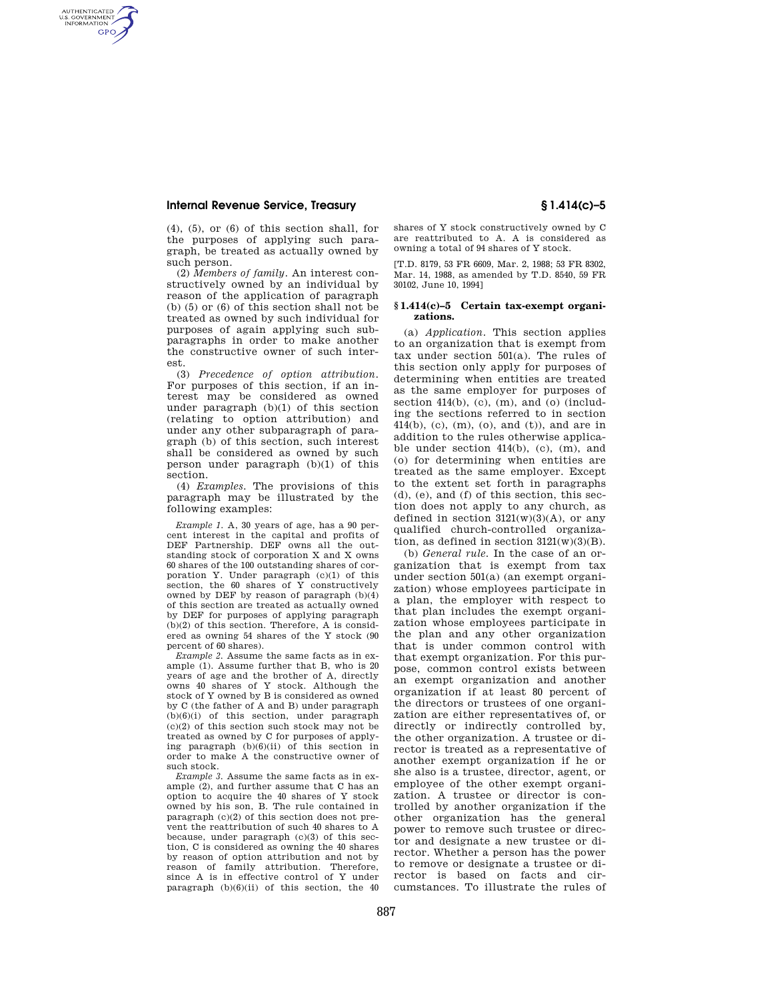## **Internal Revenue Service, Treasury § 1.414(c)–5**

AUTHENTICATED<br>U.S. GOVERNMENT<br>INFORMATION **GPO** 

> $(4)$ ,  $(5)$ , or  $(6)$  of this section shall, for the purposes of applying such paragraph, be treated as actually owned by such person.

> (2) *Members of family.* An interest constructively owned by an individual by reason of the application of paragraph (b) (5) or (6) of this section shall not be treated as owned by such individual for purposes of again applying such subparagraphs in order to make another the constructive owner of such interest.

> (3) *Precedence of option attribution.*  For purposes of this section, if an interest may be considered as owned under paragraph (b)(1) of this section (relating to option attribution) and under any other subparagraph of paragraph (b) of this section, such interest shall be considered as owned by such person under paragraph (b)(1) of this section.

> (4) *Examples.* The provisions of this paragraph may be illustrated by the following examples:

> *Example 1.* A, 30 years of age, has a 90 percent interest in the capital and profits of DEF Partnership. DEF owns all the outstanding stock of corporation X and X owns 60 shares of the 100 outstanding shares of corporation Y. Under paragraph (c)(1) of this section, the 60 shares of Y constructively owned by DEF by reason of paragraph (b)(4) of this section are treated as actually owned by DEF for purposes of applying paragraph (b)(2) of this section. Therefore, A is considered as owning 54 shares of the Y stock (90 percent of 60 shares).

> *Example 2.* Assume the same facts as in example (1). Assume further that B, who is 20 years of age and the brother of A, directly owns 40 shares of Y stock. Although the stock of Y owned by B is considered as owned by C (the father of A and B) under paragraph  $(b)(6)(i)$  of this section, under paragraph (c)(2) of this section such stock may not be treated as owned by C for purposes of applying paragraph  $(b)(6)(ii)$  of this section in order to make A the constructive owner of such stock.

> *Example 3.* Assume the same facts as in example (2), and further assume that C has an option to acquire the 40 shares of Y stock owned by his son, B. The rule contained in paragraph (c)(2) of this section does not prevent the reattribution of such 40 shares to A because, under paragraph (c)(3) of this section, C is considered as owning the 40 shares by reason of option attribution and not by reason of family attribution. Therefore, since A is in effective control of Y under paragraph  $(b)(6)(ii)$  of this section, the 40

shares of Y stock constructively owned by C are reattributed to A. A is considered as owning a total of 94 shares of Y stock.

[T.D. 8179, 53 FR 6609, Mar. 2, 1988; 53 FR 8302, Mar. 14, 1988, as amended by T.D. 8540, 59 FR 30102, June 10, 1994]

## **§ 1.414(c)–5 Certain tax-exempt organizations.**

(a) *Application.* This section applies to an organization that is exempt from tax under section 501(a). The rules of this section only apply for purposes of determining when entities are treated as the same employer for purposes of section 414(b), (c), (m), and (o) (including the sections referred to in section 414(b), (c), (m), (o), and (t)), and are in addition to the rules otherwise applicable under section 414(b), (c), (m), and (o) for determining when entities are treated as the same employer. Except to the extent set forth in paragraphs (d), (e), and (f) of this section, this section does not apply to any church, as defined in section  $3121(w)(3)(A)$ , or any qualified church-controlled organization, as defined in section  $3121(w)(3)(B)$ .

(b) *General rule.* In the case of an organization that is exempt from tax under section 501(a) (an exempt organization) whose employees participate in a plan, the employer with respect to that plan includes the exempt organization whose employees participate in the plan and any other organization that is under common control with that exempt organization. For this purpose, common control exists between an exempt organization and another organization if at least 80 percent of the directors or trustees of one organization are either representatives of, or directly or indirectly controlled by, the other organization. A trustee or director is treated as a representative of another exempt organization if he or she also is a trustee, director, agent, or employee of the other exempt organization. A trustee or director is controlled by another organization if the other organization has the general power to remove such trustee or director and designate a new trustee or director. Whether a person has the power to remove or designate a trustee or director is based on facts and circumstances. To illustrate the rules of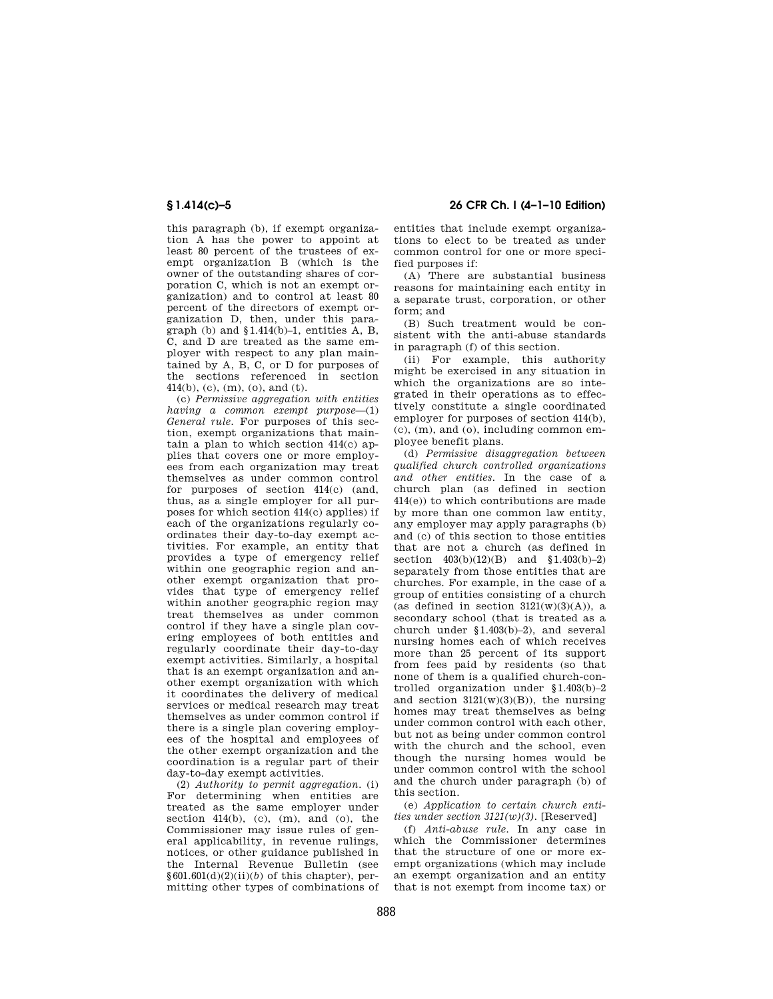this paragraph (b), if exempt organization A has the power to appoint at least 80 percent of the trustees of exempt organization B (which is the owner of the outstanding shares of corporation C, which is not an exempt organization) and to control at least 80 percent of the directors of exempt organization D, then, under this paragraph (b) and §1.414(b)–1, entities A, B, C, and D are treated as the same employer with respect to any plan maintained by A, B, C, or D for purposes of the sections referenced in section 414(b), (c), (m), (o), and (t).

(c) *Permissive aggregation with entities having a common exempt purpose*—(1) *General rule.* For purposes of this section, exempt organizations that maintain a plan to which section  $414(c)$  applies that covers one or more employees from each organization may treat themselves as under common control for purposes of section 414(c) (and, thus, as a single employer for all purposes for which section 414(c) applies) if each of the organizations regularly coordinates their day-to-day exempt activities. For example, an entity that provides a type of emergency relief within one geographic region and another exempt organization that provides that type of emergency relief within another geographic region may treat themselves as under common control if they have a single plan covering employees of both entities and regularly coordinate their day-to-day exempt activities. Similarly, a hospital that is an exempt organization and another exempt organization with which it coordinates the delivery of medical services or medical research may treat themselves as under common control if there is a single plan covering employees of the hospital and employees of the other exempt organization and the coordination is a regular part of their day-to-day exempt activities.

(2) *Authority to permit aggregation.* (i) For determining when entities are treated as the same employer under section  $414(b)$ , (c), (m), and (o), the Commissioner may issue rules of general applicability, in revenue rulings, notices, or other guidance published in the Internal Revenue Bulletin (see  $§601.601(d)(2)(ii)(b)$  of this chapter), permitting other types of combinations of

**§ 1.414(c)–5 26 CFR Ch. I (4–1–10 Edition)** 

entities that include exempt organizations to elect to be treated as under common control for one or more specified purposes if:

(A) There are substantial business reasons for maintaining each entity in a separate trust, corporation, or other form; and

(B) Such treatment would be consistent with the anti-abuse standards in paragraph (f) of this section.

(ii) For example, this authority might be exercised in any situation in which the organizations are so integrated in their operations as to effectively constitute a single coordinated employer for purposes of section 414(b), (c), (m), and (o), including common employee benefit plans.

(d) *Permissive disaggregation between qualified church controlled organizations and other entities.* In the case of a church plan (as defined in section 414(e)) to which contributions are made by more than one common law entity, any employer may apply paragraphs (b) and (c) of this section to those entities that are not a church (as defined in section  $403(b)(12)(B)$  and  $$1.403(b)-2)$ separately from those entities that are churches. For example, in the case of a group of entities consisting of a church (as defined in section  $3121(w)(3)(A)$ ), a secondary school (that is treated as a church under §1.403(b)–2), and several nursing homes each of which receives more than 25 percent of its support from fees paid by residents (so that none of them is a qualified church-controlled organization under §1.403(b)–2 and section  $3121(w)(3)(B)$ , the nursing homes may treat themselves as being under common control with each other, but not as being under common control with the church and the school, even though the nursing homes would be under common control with the school and the church under paragraph (b) of this section.

(e) *Application to certain church entities under section 3121(w)(3).* [Reserved]

(f) *Anti-abuse rule.* In any case in which the Commissioner determines that the structure of one or more exempt organizations (which may include an exempt organization and an entity that is not exempt from income tax) or